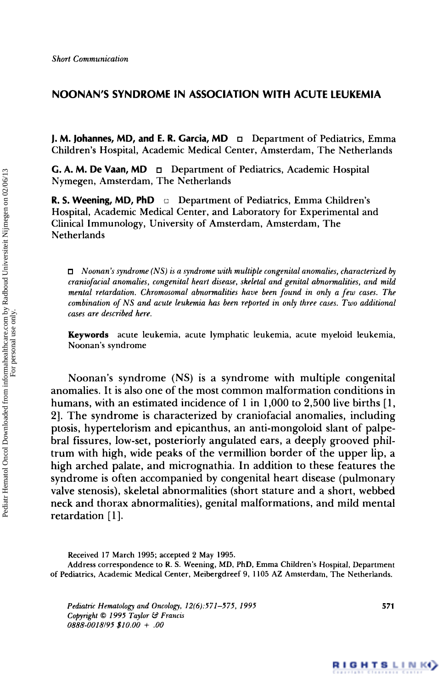# **NOONAN'S SYNDROME IN ASSOCIATION WITH ACUTE LEUKEMIA**

**J. M. Johannes, MD, and E. R. Garcia, MD**  Department of Pediatrics, Emma Children's Hospital, Academic Medical Center, Amsterdam, The Netherlands

**G. A. M. De Vaan, MD** Department of Pediatrics, Academic Hospital Nymegen, Amsterdam, The Netherlands

**R. S. Weening, MD, PhD** *o* Department of Pediatrics, Emma Children's Hospital, Academic Medical Center, and Laboratory for Experimental and Clinical Immunology, University of Amsterdam, Amsterdam, The Netherlands

*Noonan's syndrome (NS)* is *a syndrome with multiple congenital anomalies, characterized by craniofaciul anomalies, congenital heart disease, skeletal and genital abnormalities, and mild mental retardation. Chromosomal abnormalities have been found in only a few cases. The combination of NS and acute leukemia has been reported in only three* **cases.** *Two additional cases are described here.* 

**Keywords acute leukemia, acute lymphatic leukemia, acute myeloid leukemia, Noonan's syndrome** 

Noonan's syndrome (NS) is a syndrome with multiple congenital anomalies. It is also one of the most common malformation conditions in humans, with an estimated incidence of **1** in 1,000 to 2,500 live births [ 1, **21.** The syndrome is characterized by craniofacial anomalies, including ptosis, hypertelorism and epicanthus, an anti-mongoloid slant of palpebra1 fissures, low-set, posteriorly angulated ears, a deeply grooved philtrum with high, wide peaks of the vermillion border of the upper lip, a high arched palate, and micrognathia. In addition to these features the syndrome is often accompanied by congenital heart disease (pulmonary valve stenosis), skeletal abnormalities (short stature and a short, webbed neck and thorax abnormalities), genital malformations, and mild mental retardation [1].

**Address correspondence to R. S. Weening, MD, PhD, Emma Children's Hospital, Department of Pediatrics, Academic Medical Center, Meibergdreef 9, 1 105 AZ Amsterdam, The Netherlands.** 

*Pediatric Hematology and Oncology, 12(6):57I-575, I995 Copyright 0 1995 Taylor W Francis 0888-0018/95 \$10.00* f *.OO* 

**571** 

**Received 17 March 1995; accepted 2 May 1995.**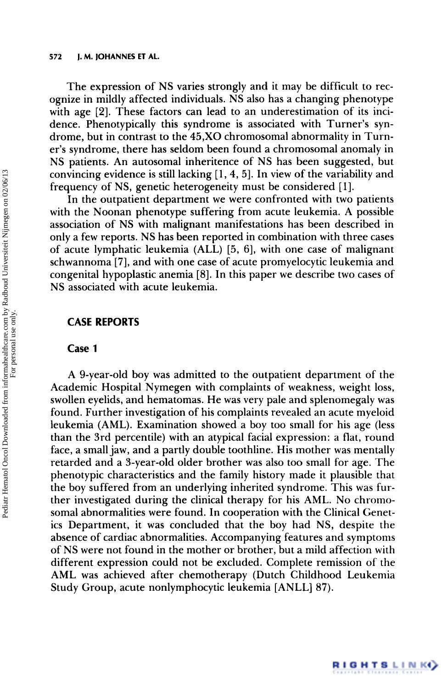#### **572 J. M. JOHANNES ET AL.**

The expression of NS varies strongly and it may be difficult to recognize in mildly affected individuals. NS also has a changing phenotype with age [2]. These factors can lead to an underestimation of its incidence. Phenotypically this syndrome is associated with Turner's syndrome, but in contrast to the **45,XO** chromosomal abnormality in Turner's syndrome, there has seldom been found a chromosomal anomaly in NS patients. An autosomal inheritence of NS has been suggested, but convincing evidence is still lacking  $[1, 4, 5]$ . In view of the variability and frequency of NS, genetic heterogeneity must be considered [ 11.

In the outpatient department we were confronted with two patients with the Noonan phenotype suffering from acute leukemia. A possible association of NS with malignant manifestations has been described in only a few reports. NS has been reported in combination with three cases of acute lymphatic leukemia (ALL) [5, 61, with one case of malignant schwannoma [7], and with one case of acute promyelocytic leukemia and congenital hypoplastic anemia [8]. In this paper we describe two cases of NS associated with acute leukemia.

### **CASE REPORTS**

## **Case 1**

A 9-year-old boy was admitted to the outpatient department of the Academic Hospital Nymegen with complaints of weakness, weight loss, swollen eyelids, and hematomas. He was very pale and splenomegaly was found. Further investigation of his complaints revealed an acute myeloid leukemia (AML). Examination showed a boy too small for his age (less than the 3rd percentile) with an atypical facial expression: a flat, round face, a small jaw, and a partly double toothline. His mother was mentally retarded and a 3-year-old older brother was also too small for age. The phenotypic characteristics and the family history made it plausible that the boy suffered from an underlying inherited syndrome. This was further investigated during the clinical therapy for his AML. No chromosomal abnormalities were found. In cooperation with the Clinical Genetics Department, it was concluded that the boy had NS, despite the absence of cardiac abnormalities. Accompanying features and symptoms of NS were not found in the mother or brother, but a mild affection with different expression could not be excluded. Complete remission of the AML was achieved after chemotherapy (Dutch Childhood Leukemia Study Group, acute nonlymphocytic leukemia [ANLL] 87).

RIGHTSLINK<sup>Y</sup>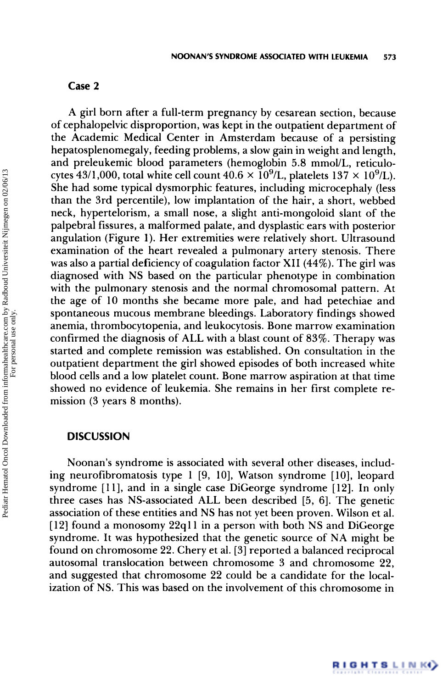# **Case 2**

A girl born after a full-term pregnancy by cesarean section, because of cephalopelvic disproportion, was kept in the outpatient department of the Academic Medical Center in Amsterdam because of a persisting hepatosplenomegaly, feeding problems, a slow gain in weight and length, and preleukemic blood parameters (hemoglobin 5.8 mmol/L, reticulocytes 43/1,000, total white cell count  $40.6 \times 10^9$ /L, platelets  $137 \times 10^9$ /L). She had some typical dysmorphic features, including microcephaly (less than the 3rd percentile), low implantation of the hair, a short, webbed neck, hypertelorism, a small nose, a slight anti-mongoloid slant of the palpebral fissures, a malformed palate, and dysplastic ears with posterior angulation (Figure 1). Her extremities were relatively short. Ultrasound examination of the heart revealed a pulmonary artery stenosis. There was also a partial deficiency of coagulation factor **XI1 (44%).** The girl was diagnosed with NS based on the particular phenotype in combination with the pulmonary stenosis and the normal chromosomal pattern. At the age of 10 months she became more pale, and had petechiae and spontaneous mucous membrane bleedings. Laboratory findings showed anemia, thrombocytopenia, and leukocytosis. Bone marrow examination confirmed the diagnosis of ALL with a blast count of 83%. Therapy was started and complete remission was established. On consultation in the outpatient department the girl showed episodes of both increased white blood cells and a low platelet count. Bone marrow aspiration at that time showed no evidence of leukemia. She remains in her first complete remission (3 years 8 months).

# **DISCUSSION**

Noonan's syndrome is associated with several other diseases, including neurofibromatosis type 1 **[9,** 101, Watson syndrome [lo], leopard syndrome [11], and in a single case DiGeorge syndrome [12]. In only three cases has NS-associated ALL been described [5, 61. The genetic association of these entities and NS has not yet been proven. Wilson et al.  $[12]$  found a monosomy  $22q11$  in a person with both NS and DiGeorge syndrome. It was hypothesized that the genetic source of NA might be found on chromosome 22. Chery et al. [3] reported a balanced reciprocal autosomal translocation between chromosome 3 and chromosome 22, and suggested that chromosome 22 could be a candidate for the localization of NS. This was based on the involvement of this chromosome in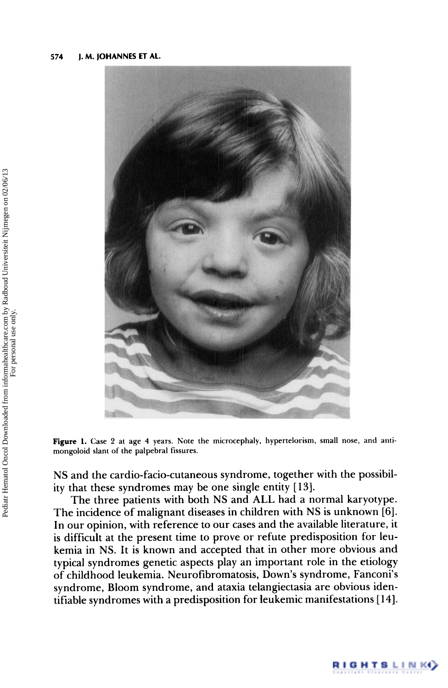

Figure 1. Case 2 at age 4 years. Note the microcephaly, hypertelorism, small nose, and anti**mongoloid slant of the palpebral fissures.** 

NS and the cardio-facio-cutaneous syndrome, together with the possibility that these syndromes may be one single entity [ **131.** 

The three patients with both NS and ALL had a normal karyotype. The incidence of malignant diseases in children with NS is unknown *[6].*  In our opinion, with reference to our cases and the available literature, it is difficult at the present time to prove or refute predisposition for leukemia in NS. It is known and accepted that in other more obvious and typical syndromes genetic aspects play an important role in the etiology of childhood leukemia. Neurofibromatosis, Down's syndrome, Fanconi's syndrome, Bloom syndrome, and ataxia telangiectasia are obvious identifiable syndromes with a predisposition for leukemic manifestations [ 141.

RIGHTSLINK()